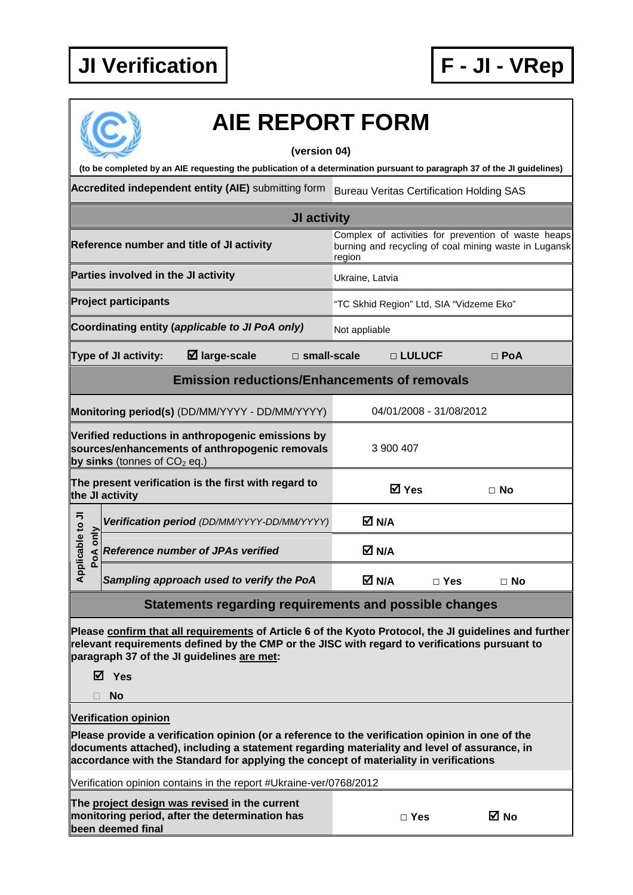

|                                                                                                                                         | <b>AIE REPORT FORM</b>                                                                                                                                                                                                                                                                  |                                                                                                                        |                         |            |  |  |  |
|-----------------------------------------------------------------------------------------------------------------------------------------|-----------------------------------------------------------------------------------------------------------------------------------------------------------------------------------------------------------------------------------------------------------------------------------------|------------------------------------------------------------------------------------------------------------------------|-------------------------|------------|--|--|--|
| (version 04)<br>(to be completed by an AIE requesting the publication of a determination pursuant to paragraph 37 of the JI guidelines) |                                                                                                                                                                                                                                                                                         |                                                                                                                        |                         |            |  |  |  |
|                                                                                                                                         | Accredited independent entity (AIE) submitting form                                                                                                                                                                                                                                     | <b>Bureau Veritas Certification Holding SAS</b>                                                                        |                         |            |  |  |  |
|                                                                                                                                         |                                                                                                                                                                                                                                                                                         |                                                                                                                        |                         |            |  |  |  |
|                                                                                                                                         | JI activity                                                                                                                                                                                                                                                                             |                                                                                                                        |                         |            |  |  |  |
|                                                                                                                                         | Reference number and title of JI activity                                                                                                                                                                                                                                               | Complex of activities for prevention of waste heaps<br>burning and recycling of coal mining waste in Lugansk<br>region |                         |            |  |  |  |
|                                                                                                                                         | Parties involved in the JI activity                                                                                                                                                                                                                                                     | Ukraine, Latvia                                                                                                        |                         |            |  |  |  |
|                                                                                                                                         | <b>Project participants</b>                                                                                                                                                                                                                                                             | "TC Skhid Region" Ltd, SIA "Vidzeme Eko"                                                                               |                         |            |  |  |  |
|                                                                                                                                         | Coordinating entity (applicable to JI PoA only)                                                                                                                                                                                                                                         | Not appliable                                                                                                          |                         |            |  |  |  |
|                                                                                                                                         | $\boxtimes$ large-scale<br>Type of JI activity:<br>$\square$ small-scale                                                                                                                                                                                                                |                                                                                                                        | □ LULUCF                | $\Box$ PoA |  |  |  |
|                                                                                                                                         | <b>Emission reductions/Enhancements of removals</b>                                                                                                                                                                                                                                     |                                                                                                                        |                         |            |  |  |  |
|                                                                                                                                         | Monitoring period(s) (DD/MM/YYYY - DD/MM/YYYY)                                                                                                                                                                                                                                          |                                                                                                                        | 04/01/2008 - 31/08/2012 |            |  |  |  |
|                                                                                                                                         | Verified reductions in anthropogenic emissions by<br>sources/enhancements of anthropogenic removals<br>by sinks (tonnes of $CO2$ eq.)                                                                                                                                                   | 3 900 407                                                                                                              |                         |            |  |  |  |
|                                                                                                                                         | The present verification is the first with regard to<br>the JI activity                                                                                                                                                                                                                 | <b>☑</b> Yes                                                                                                           |                         | $\Box$ No  |  |  |  |
|                                                                                                                                         | Verification period (DD/MM/YYYY-DD/MM/YYYY)                                                                                                                                                                                                                                             | M N/A                                                                                                                  |                         |            |  |  |  |
| plicable to JI<br>only<br>PoA                                                                                                           | <b>Reference number of JPAs verified</b>                                                                                                                                                                                                                                                | M N/A                                                                                                                  |                         |            |  |  |  |
| ᡇ                                                                                                                                       | Sampling approach used to verify the PoA                                                                                                                                                                                                                                                | M N/A                                                                                                                  | $\Box$ Yes              | $\Box$ No  |  |  |  |
|                                                                                                                                         | <b>Statements regarding requirements and possible changes</b>                                                                                                                                                                                                                           |                                                                                                                        |                         |            |  |  |  |
|                                                                                                                                         | Please confirm that all requirements of Article 6 of the Kyoto Protocol, the JI guidelines and further<br>relevant requirements defined by the CMP or the JISC with regard to verifications pursuant to<br>paragraph 37 of the JI guidelines are met:<br>⊠ Yes<br><b>No</b>             |                                                                                                                        |                         |            |  |  |  |
|                                                                                                                                         | <b>Verification opinion</b>                                                                                                                                                                                                                                                             |                                                                                                                        |                         |            |  |  |  |
|                                                                                                                                         | Please provide a verification opinion (or a reference to the verification opinion in one of the<br>documents attached), including a statement regarding materiality and level of assurance, in<br>accordance with the Standard for applying the concept of materiality in verifications |                                                                                                                        |                         |            |  |  |  |
| Verification opinion contains in the report #Ukraine-ver/0768/2012                                                                      |                                                                                                                                                                                                                                                                                         |                                                                                                                        |                         |            |  |  |  |
|                                                                                                                                         | The project design was revised in the current<br>monitoring period, after the determination has<br>been deemed final                                                                                                                                                                    |                                                                                                                        | $\square$ Yes           | ⊠ No       |  |  |  |